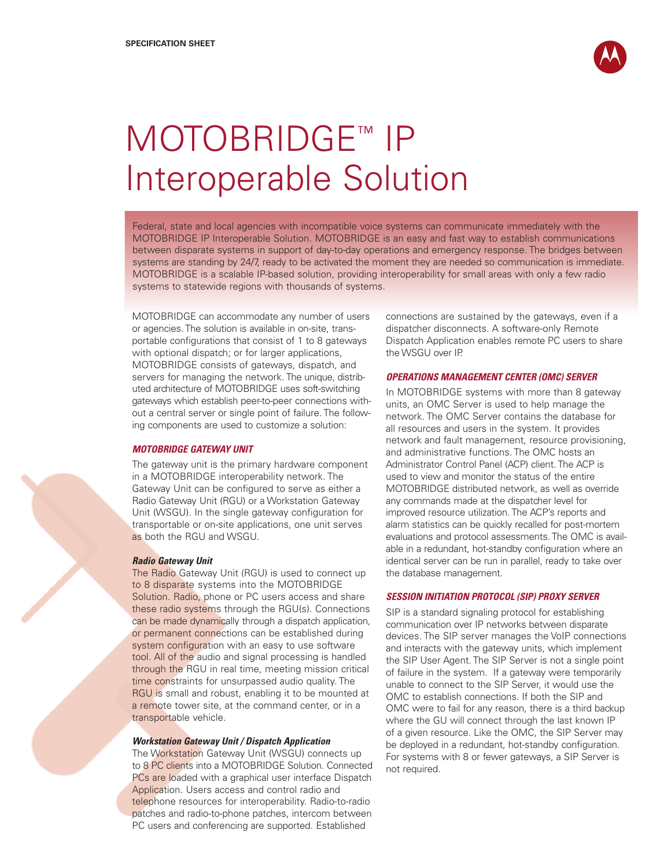

# MOTOBRIDGE™ IP Interoperable Solution

Federal, state and local agencies with incompatible voice systems can communicate immediately with the MOTOBRIDGE IP Interoperable Solution. MOTOBRIDGE is an easy and fast way to establish communications between disparate systems in support of day-to-day operations and emergency response. The bridges between systems are standing by 24/7, ready to be activated the moment they are needed so communication is immediate. MOTOBRIDGE is a scalable IP-based solution, providing interoperability for small areas with only a few radio systems to statewide regions with thousands of systems.

MOTOBRIDGE can accommodate any number of users or agencies. The solution is available in on-site, transportable configurations that consist of 1 to 8 gateways with optional dispatch; or for larger applications, MOTOBRIDGE consists of gateways, dispatch, and servers for managing the network. The unique, distributed architecture of MOTOBRIDGE uses soft-switching gateways which establish peer-to-peer connections without a central server or single point of failure. The following components are used to customize a solution:

# *MOTOBRIDGE GATEWAY UNIT*

The gateway unit is the primary hardware component in a MOTOBRIDGE interoperability network. The Gateway Unit can be configured to serve as either a Radio Gateway Unit (RGU) or a Workstation Gateway Unit (WSGU). In the single gateway configuration for transportable or on-site applications, one unit serves as both the RGU and WSGU.

### *Radio Gateway Unit*

The Radio Gateway Unit (RGU) is used to connect up to 8 disparate systems into the MOTOBRIDGE Solution. Radio, phone or PC users access and share these radio systems through the RGU(s). Connections can be made dynamically through a dispatch application, or permanent connections can be established during system configuration with an easy to use software tool. All of the audio and signal processing is handled through the RGU in real time, meeting mission critical time constraints for unsurpassed audio quality. The RGU is small and robust, enabling it to be mounted at a remote tower site, at the command center, or in a transportable vehicle.

#### *Workstation Gateway Unit / Dispatch Application*

The Workstation Gateway Unit (WSGU) connects up to 8 PC clients into a MOTOBRIDGE Solution. Connected PCs are loaded with a graphical user interface Dispatch Application. Users access and control radio and telephone resources for interoperability. Radio-to-radio patches and radio-to-phone patches, intercom between PC users and conferencing are supported. Established

connections are sustained by the gateways, even if a dispatcher disconnects. A software-only Remote Dispatch Application enables remote PC users to share the WSGU over IP.

#### *OPERATIONS MANAGEMENT CENTER (OMC) SERVER*

In MOTOBRIDGE systems with more than 8 gateway units, an OMC Server is used to help manage the network. The OMC Server contains the database for all resources and users in the system. It provides network and fault management, resource provisioning, and administrative functions. The OMC hosts an Administrator Control Panel (ACP) client. The ACP is used to view and monitor the status of the entire MOTOBRIDGE distributed network, as well as override any commands made at the dispatcher level for improved resource utilization. The ACP's reports and alarm statistics can be quickly recalled for post-mortem evaluations and protocol assessments. The OMC is available in a redundant, hot-standby configuration where an identical server can be run in parallel, ready to take over the database management.

# *SESSION INITIATION PROTOCOL (SIP) PROXY SERVER*

SIP is a standard signaling protocol for establishing communication over IP networks between disparate devices. The SIP server manages the VoIP connections and interacts with the gateway units, which implement the SIP User Agent. The SIP Server is not a single point of failure in the system. If a gateway were temporarily unable to connect to the SIP Server, it would use the OMC to establish connections. If both the SIP and OMC were to fail for any reason, there is a third backup where the GU will connect through the last known IP of a given resource. Like the OMC, the SIP Server may be deployed in a redundant, hot-standby configuration. For systems with 8 or fewer gateways, a SIP Server is not required.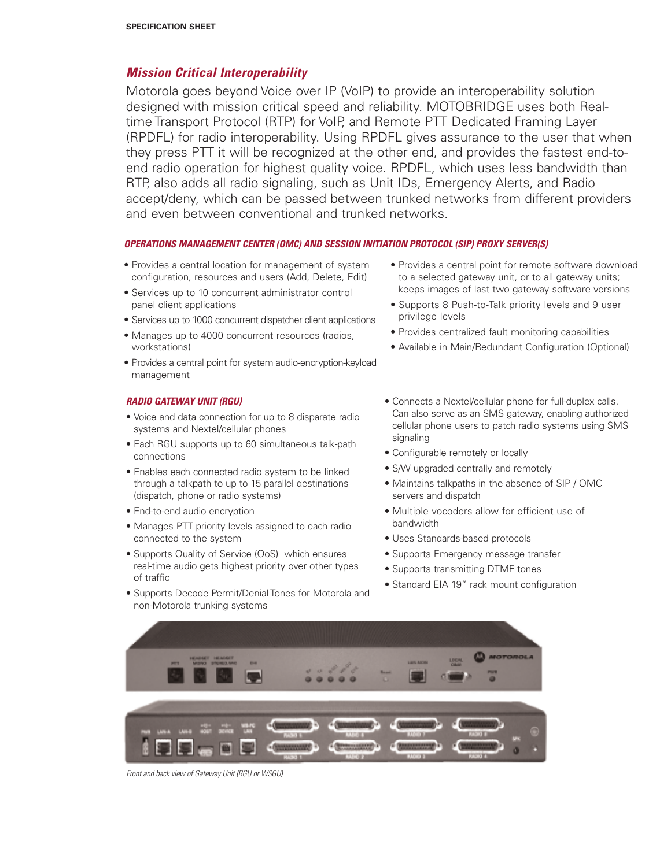# *Mission Critical Interoperability*

Motorola goes beyond Voice over IP (VoIP) to provide an interoperability solution designed with mission critical speed and reliability. MOTOBRIDGE uses both Realtime Transport Protocol (RTP) for VoIP, and Remote PTT Dedicated Framing Layer (RPDFL) for radio interoperability. Using RPDFL gives assurance to the user that when they press PTT it will be recognized at the other end, and provides the fastest end-toend radio operation for highest quality voice. RPDFL, which uses less bandwidth than RTP, also adds all radio signaling, such as Unit IDs, Emergency Alerts, and Radio accept/deny, which can be passed between trunked networks from different providers and even between conventional and trunked networks.

# *OPERATIONS MANAGEMENT CENTER (OMC) AND SESSION INITIATION PROTOCOL (SIP) PROXY SERVER(S)*

- Provides a central location for management of system configuration, resources and users (Add, Delete, Edit)
- Services up to 10 concurrent administrator control panel client applications
- Services up to 1000 concurrent dispatcher client applications
- Manages up to 4000 concurrent resources (radios, workstations)
- Provides a central point for system audio-encryption-keyload management

# *RADIO GATEWAY UNIT (RGU)*

- Voice and data connection for up to 8 disparate radio systems and Nextel/cellular phones
- Each RGU supports up to 60 simultaneous talk-path connections
- Enables each connected radio system to be linked through a talkpath to up to 15 parallel destinations (dispatch, phone or radio systems)
- End-to-end audio encryption
- Manages PTT priority levels assigned to each radio connected to the system
- Supports Quality of Service (QoS) which ensures real-time audio gets highest priority over other types of traffic
- Supports Decode Permit/Denial Tones for Motorola and non-Motorola trunking systems
- Provides a central point for remote software download to a selected gateway unit, or to all gateway units; keeps images of last two gateway software versions
- Supports 8 Push-to-Talk priority levels and 9 user privilege levels
- Provides centralized fault monitoring capabilities
- Available in Main/Redundant Configuration (Optional)
- Connects a Nextel/cellular phone for full-duplex calls. Can also serve as an SMS gateway, enabling authorized cellular phone users to patch radio systems using SMS signaling
- Configurable remotely or locally
- S/W upgraded centrally and remotely
- Maintains talkpaths in the absence of SIP / OMC servers and dispatch
- Multiple vocoders allow for efficient use of bandwidth
- Uses Standards-based protocols
- Supports Emergency message transfer
- Supports transmitting DTMF tones
- Standard EIA 19" rack mount configuration



*Front and back view of Gateway Unit (RGU or WSGU)*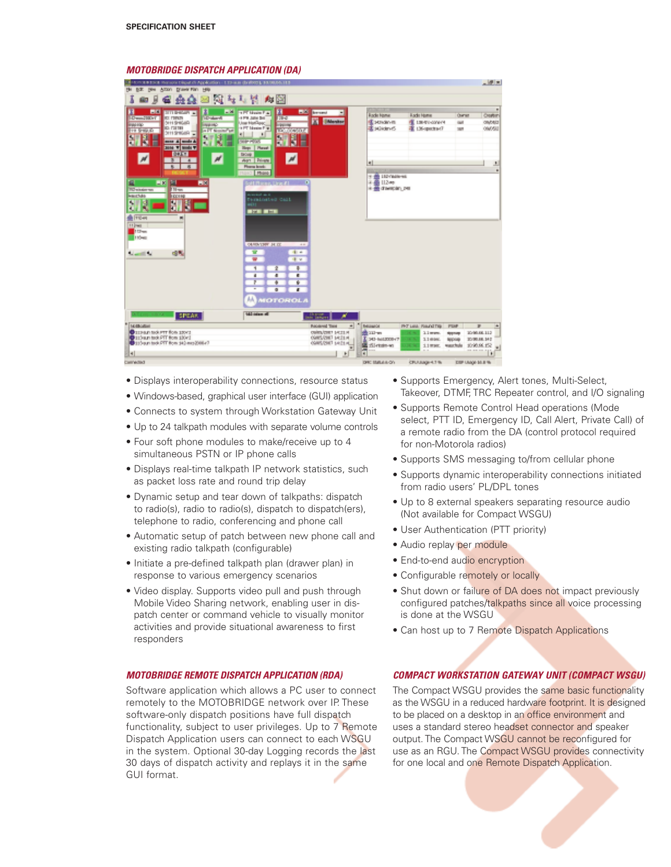| SHOULD END PHONE DRAFT AT A COMP. LEFT HIS CHARGE \$1, \$1,000,00, \$1.5   |                                                 |                                    |                                |                                       |                | 三里田                                     |
|----------------------------------------------------------------------------|-------------------------------------------------|------------------------------------|--------------------------------|---------------------------------------|----------------|-----------------------------------------|
| the light pass Accor grasser form Help                                     |                                                 |                                    |                                |                                       |                |                                         |
| м<br>uп                                                                    | 回復なた物 丸図                                        |                                    |                                |                                       |                |                                         |
| 出向<br>$-14$<br>3111 Brettam<br>٠                                           | н<br><b>SPERINGER</b>                           | <b>A.M. Arrand</b>                 |                                |                                       |                |                                         |
| <b>Demiliari</b><br>ET. FORKIN<br><b>Distance</b>                          | 4 PW Jahr Sri<br>118-0                          | п                                  | <b>Rock</b> Nome               | <b>Radio Home</b>                     | Owner          | Osten                                   |
| <b>SEE1 SHIRGHIA</b><br><b>HARMON</b><br>PAGERIC<br><b>ICI FIETER</b>      | Use NotApec<br><b>DECIME</b><br>o PT Mosim F.W. | - [Meniter                         | <b>Extrance</b><br>書Nikknる     | E LIBRO-CONVER<br>電 LN-montac7        | GMT<br>167     | on/osiz<br>09/05/2                      |
| a PT Nissan at<br><b>THI SHIRLIG!</b><br><b>RINER HY</b><br>÷,             | 100005074<br>۰ı                                 |                                    |                                |                                       |                |                                         |
| ă<br>sons & mode &<br>×.                                                   | <b>SIGHTWOOD</b>                                |                                    |                                |                                       |                |                                         |
| <b>Billie W Smith W</b><br>093.7                                           | <b>How   Reset</b><br>Drove.                    |                                    |                                |                                       |                |                                         |
| H.<br>H<br>٠                                                               | $\cal M$<br>Apr   Nuane                         |                                    | 4                              |                                       |                |                                         |
| $\overline{\mathbf{5}}$<br>$\overline{a}$                                  | Phone level:                                    |                                    |                                |                                       |                | 소<br>$\blacksquare$                     |
|                                                                            | <b>Phone</b>                                    |                                    | + 6 DP/MWH                     |                                       |                |                                         |
| ■図 図<br>$-8$                                                               | - 11<br><b>Hills an Une #1</b>                  |                                    | 3 画 112mm                      |                                       |                |                                         |
| Til was<br>TO six day was<br><b>Warrent</b><br><b>ECORD</b>                | <b>HORACE ARE</b>                               |                                    | * distancing per               |                                       |                |                                         |
| <b>11 B</b><br>ч                                                           | Naminated Call                                  |                                    |                                |                                       |                |                                         |
| 跚<br>٠                                                                     | <b>Die Little</b>                               |                                    |                                |                                       |                |                                         |
| <b>SE TRAN</b><br>$\blacksquare$                                           |                                                 |                                    |                                |                                       |                |                                         |
| 11 Page                                                                    |                                                 |                                    |                                |                                       |                |                                         |
| 113mm<br><b>Thomas</b>                                                     |                                                 |                                    |                                |                                       |                |                                         |
|                                                                            | <b>OLAIDA'LDRY JALIZ</b><br>$\alpha$ as         |                                    |                                |                                       |                |                                         |
| 击乱<br><b>March M</b>                                                       | 中一<br>u                                         |                                    |                                |                                       |                |                                         |
|                                                                            | ₩<br>中間                                         |                                    |                                |                                       |                |                                         |
|                                                                            | τ<br>ž<br>٩                                     |                                    |                                |                                       |                |                                         |
|                                                                            | ×<br>×<br>а                                     |                                    |                                |                                       |                |                                         |
|                                                                            | э<br>š<br>×                                     |                                    |                                |                                       |                |                                         |
|                                                                            | $\overline{a}$<br>$\sigma$<br>$\blacksquare$    |                                    |                                |                                       |                |                                         |
|                                                                            | M<br>мотокогл                                   |                                    |                                |                                       |                |                                         |
|                                                                            |                                                 |                                    |                                |                                       |                |                                         |
| <b>SPEAK</b>                                                               | 142-telem oli                                   | <b>Pillon</b><br>×                 |                                |                                       |                |                                         |
| ٠<br><b>MORAGEM</b>                                                        |                                                 | <b>Rockwell Time</b><br>$\bullet$  | <b>Bellington</b>              | <b>PHT LINE FOR FOTTIB</b>            | <b>PSAP</b>    | $\mathbb{F}$<br>÷                       |
| <b>BILD BUT THE PTT FOR 120YS</b>                                          |                                                 | OWNIGHT 141114                     | di ur-                         | $2.1$ mans.<br>$-16 - 16$             | <b>Hysney</b>  | 35/86.88.113                            |
| <b>Q</b> 113 a.m took PTT from 130v1<br>Cydition and PT from \$40 mm2006+7 |                                                 | OWEVERT MELLIN<br>GARLISHT MILLIAL | T :HO-INSZKOI-7<br>图 Sirkstown | 3.1 miles.<br>14.74                   | <b>BICORD</b>  | 3D/00.88.14 0                           |
|                                                                            |                                                 |                                    | ж                              | 1.1 mar. watchda<br><b>16.74</b><br>- |                | 1090.96.152<br>$\overline{\phantom{a}}$ |
| H                                                                          |                                                 |                                    | $\blacksquare$                 |                                       |                | ٠                                       |
| California                                                                 |                                                 |                                    | DRI MALASON                    | CFUULKGH-4.1 %                        | DIP UMOR MLB % |                                         |

#### *MOTOBRIDGE DISPATCH APPLICATION (DA)*

- Displays interoperability connections, resource status
- Windows-based, graphical user interface (GUI) application
- Connects to system through Workstation Gateway Unit
- Up to 24 talkpath modules with separate volume controls
- Four soft phone modules to make/receive up to 4 simultaneous PSTN or IP phone calls
- Displays real-time talkpath IP network statistics, such as packet loss rate and round trip delay
- Dynamic setup and tear down of talkpaths: dispatch to radio(s), radio to radio(s), dispatch to dispatch(ers), telephone to radio, conferencing and phone call
- Automatic setup of patch between new phone call and existing radio talkpath (configurable)
- Initiate a pre-defined talkpath plan (drawer plan) in response to various emergency scenarios
- Video display. Supports video pull and push through Mobile Video Sharing network, enabling user in dispatch center or command vehicle to visually monitor activities and provide situational awareness to first responders

#### *MOTOBRIDGE REMOTE DISPATCH APPLICATION (RDA)*

Software application which allows a PC user to connect remotely to the MOTOBRIDGE network over IP. These software-only dispatch positions have full dispatch functionality, subject to user privileges. Up to 7 Remote Dispatch Application users can connect to each WSGU in the system. Optional 30-day Logging records the last 30 days of dispatch activity and replays it in the same GUI format.

- Supports Emergency, Alert tones, Multi-Select, Takeover, DTMF, TRC Repeater control, and I/O signaling
- Supports Remote Control Head operations (Mode select, PTT ID, Emergency ID, Call Alert, Private Call) of a remote radio from the DA (control protocol required for non-Motorola radios)
- Supports SMS messaging to/from cellular phone
- Supports dynamic interoperability connections initiated from radio users' PL/DPL tones
- Up to 8 external speakers separating resource audio (Not available for Compact WSGU)
- User Authentication (PTT priority)
- Audio replay per module
- End-to-end audio encryption
- Configurable remotely or locally
- Shut down or failure of DA does not impact previously configured patches/talkpaths since all voice processing is done at the WSGU
- Can host up to 7 Remote Dispatch Applications

# *COMPACT WORKSTATION GATEWAY UNIT (COMPACT WSGU)*

The Compact WSGU provides the same basic functionality as the WSGU in a reduced hardware footprint. It is designed to be placed on a desktop in an office environment and uses a standard stereo headset connector and speaker output. The Compact WSGU cannot be reconfigured for use as an RGU. The Compact WSGU provides connectivity for one local and one Remote Dispatch Application.